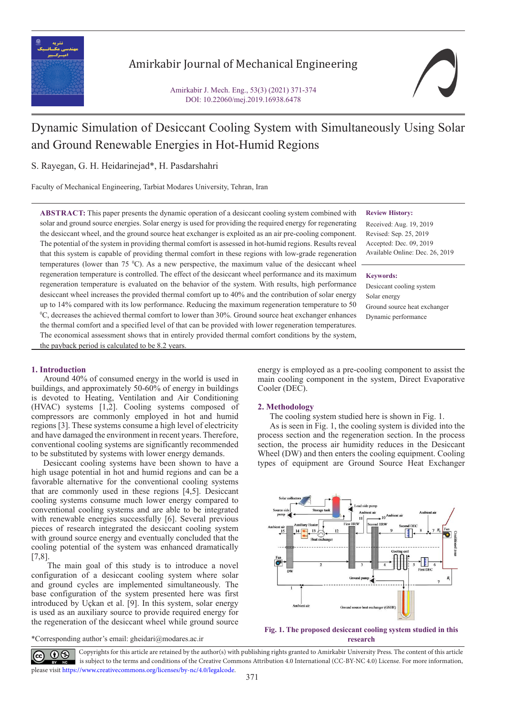

## Amirkabir Journal of Mechanical Engineering

Amirkabir J. Mech. Eng., 53(3) (2021) 371-374 DOI: 10.22060/mej.2019.16938.6478



# Dynamic Simulation of Desiccant Cooling System with Simultaneously Using Solar and Ground Renewable Energies in Hot-Humid Regions

S. Rayegan, G. H. Heidarinejad\*, H. Pasdarshahri

Faculty of Mechanical Engineering, Tarbiat Modares University, Tehran, Iran

**ABSTRACT:** This paper presents the dynamic operation of a desiccant cooling system combined with solar and ground source energies. Solar energy is used for providing the required energy for regenerating the desiccant wheel, and the ground source heat exchanger is exploited as an air pre-cooling component. The potential of the system in providing thermal comfort is assessed in hot-humid regions. Results reveal that this system is capable of providing thermal comfort in these regions with low-grade regeneration temperatures (lower than  $75 \degree C$ ). As a new perspective, the maximum value of the desiccant wheel regeneration temperature is controlled. The effect of the desiccant wheel performance and its maximum regeneration temperature is evaluated on the behavior of the system. With results, high performance desiccant wheel increases the provided thermal comfort up to 40% and the contribution of solar energy up to 14% compared with its low performance. Reducing the maximum regeneration temperature to 50 0 C, decreases the achieved thermal comfort to lower than 30%. Ground source heat exchanger enhances the thermal comfort and a specified level of that can be provided with lower regeneration temperatures. The economical assessment shows that in entirely provided thermal comfort conditions by the system, **Review History:**

Received: Aug. 19, 2019 Revised: Sep. 25, 2019 Accepted: Dec. 09, 2019 Available Online: Dec. 26, 2019

**Keywords:**

Desiccant cooling system Solar energy Ground source heat exchanger Dynamic performance

#### **1. Introduction**

Around 40% of consumed energy in the world is used in buildings, and approximately 50-60% of energy in buildings is devoted to Heating, Ventilation and Air Conditioning (HVAC) systems [1,2]. Cooling systems composed of compressors are commonly employed in hot and humid regions [3]. These systems consume a high level of electricity and have damaged the environment in recent years. Therefore, conventional cooling systems are significantly recommended to be substituted by systems with lower energy demands.

the payback period is calculated to be 8.2 years.

Desiccant cooling systems have been shown to have a high usage potential in hot and humid regions and can be a favorable alternative for the conventional cooling systems that are commonly used in these regions [4,5]. Desiccant cooling systems consume much lower energy compared to conventional cooling systems and are able to be integrated with renewable energies successfully [6]. Several previous pieces of research integrated the desiccant cooling system with ground source energy and eventually concluded that the cooling potential of the system was enhanced dramatically  $[7,8]$ .

 The main goal of this study is to introduce a novel configuration of a desiccant cooling system where solar and ground cycles are implemented simultaneously. The base configuration of the system presented here was first introduced by Uçkan et al. [9]. In this system, solar energy is used as an auxiliary source to provide required energy for the regeneration of the desiccant wheel while ground source

\*Corresponding author's email: gheidari@modares.ac.ir

energy is employed as a pre-cooling component to assist the main cooling component in the system, Direct Evaporative Cooler (DEC).

#### **2. Methodology**

The cooling system studied here is shown in Fig. 1.

As is seen in Fig. 1, the cooling system is divided into the process section and the regeneration section. In the process section, the process air humidity reduces in the Desiccant Wheel (DW) and then enters the cooling equipment. Cooling types of equipment are Ground Source Heat Exchanger





 Copyrights for this article are retained by the author(s) with publishing rights granted to Amirkabir University Press. The content of this article is subject to the terms and conditions of the Creative Commons Attribution 4.0 International (CC-BY-NC 4.0) License. For more information, please visit https://www.creativecommons.org/licenses/by-nc/4.0/legalcode.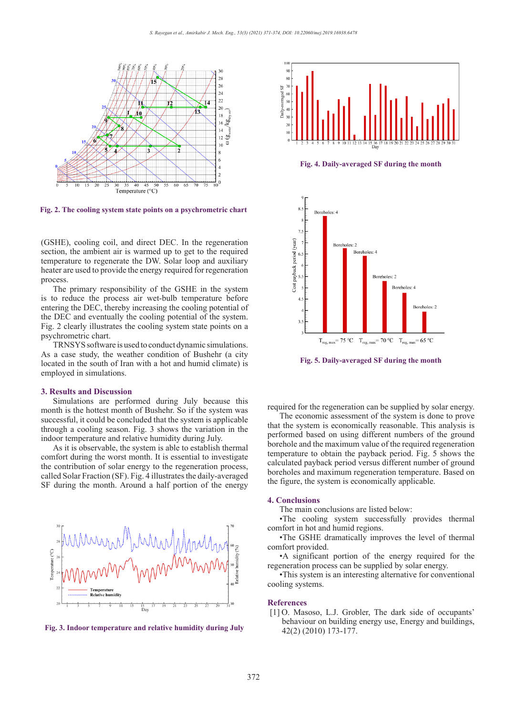

**Fig. 2. The cooling system state points on a psychrometric chart Fig. 2. The cooling system state points on a psychrometric chart**

(GSHE), cooling coil, and direct DEC. In the regeneration section, the ambient air is warmed up to get to the required temperature to regenerate the DW. Solar loop and auxiliary heater are used to provide the energy required for regeneration process.

The primary responsibility of the GSHE in the system is to reduce the process air wet-bulb temperature before entering the DEC, thereby increasing the cooling potential of the DEC and eventually the cooling potential of the system. Fig. 2 clearly illustrates the cooling system state points on a **Fig. Physical chart.** 

TRNSYS software is used to conduct dynamic simulations. As a case study, the weather condition of Bushehr (a city located in the south of Iran with a hot and humid climate) is employed in simulations.

#### **3. Results and Discussion**

Simulations are performed during July because this month is the hottest month of Bushehr. So if the system was successful, it could be concluded that the system is applicable through a cooling season. Fig. 3 shows the variation in the indoor temperature and relative humidity during July.

As it is observable, the system is able to establish thermal **Fig. 4. Daily-averaged SF during the month** comfort during the worst month. It is essential to investigate the contribution of solar energy to the regeneration process, called Solar Fraction (SF). Fig. 4 illustrates the daily-averaged SF during the month. Around a half portion of the energy **Fig. 2. The cooling system state points on a psychrometric chart**



42(2) (2010) 173-177. **Fig. 3. Indoor temperature and relative humidity during July Fig. 3. Indoor temperature and relative humidity during July**



**Fig. 4. Daily-averaged SF during the month Fig. 4. Daily-averaged SF during the month**



**Fi Fig. 5. Daily-averaged SF during the month g. 5. Daily-averaged SF during the month**

required for the regeneration can be supplied by solar energy.

The economic assessment of the system is done to prove that the system is economically reasonable. This analysis is performed based on using different numbers of the ground borehole and the maximum value of the required regeneration temperature to obtain the payback period. Fig. 5 shows the calculated payback period versus different number of ground boreholes and maximum regeneration temperature. Based on the figure, the system is economically applicable.

#### **4. Conclusions**

The main conclusions are listed below:

•The cooling system successfully provides thermal comfort in hot and humid regions.

•The GSHE dramatically improves the level of thermal comfort provided.

•A significant portion of the energy required for the regeneration process can be supplied by solar energy.

•This system is an interesting alternative for conventional cooling systems.

#### **References**

[1]<sup>O.</sup> Masoso, L.J. Grobler, The dark side of occupants' behaviour on building energy use, Energy and buildings,